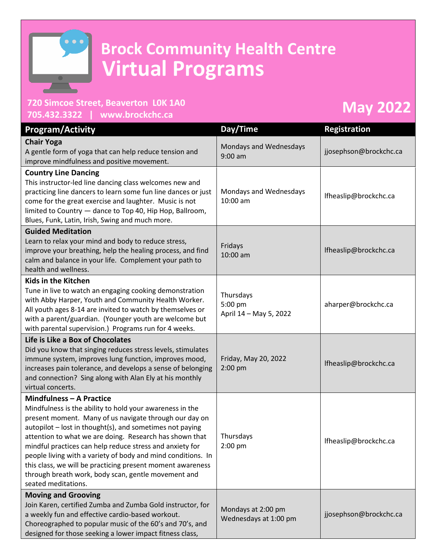

## **Brock Community Health Centre Virtual Programs**

## **720 Simcoe Street, Beaverton L0K 1A0**

## **705.432.3322 | [www.brockchc.ca](http://www.brockchc.ca/) May 2022**

| <b>Program/Activity</b>                                                                                                                                                                                                                                                                                                                                                                                                                                                                                                                              | Day/Time                                       | <b>Registration</b>    |
|------------------------------------------------------------------------------------------------------------------------------------------------------------------------------------------------------------------------------------------------------------------------------------------------------------------------------------------------------------------------------------------------------------------------------------------------------------------------------------------------------------------------------------------------------|------------------------------------------------|------------------------|
| <b>Chair Yoga</b><br>A gentle form of yoga that can help reduce tension and<br>improve mindfulness and positive movement.                                                                                                                                                                                                                                                                                                                                                                                                                            | Mondays and Wednesdays<br>$9:00$ am            | jjosephson@brockchc.ca |
| <b>Country Line Dancing</b><br>This instructor-led line dancing class welcomes new and<br>practicing line dancers to learn some fun line dances or just<br>come for the great exercise and laughter. Music is not<br>limited to Country - dance to Top 40, Hip Hop, Ballroom,<br>Blues, Funk, Latin, Irish, Swing and much more.                                                                                                                                                                                                                     | Mondays and Wednesdays<br>$10:00$ am           | lfheaslip@brockchc.ca  |
| <b>Guided Meditation</b><br>Learn to relax your mind and body to reduce stress,<br>improve your breathing, help the healing process, and find<br>calm and balance in your life. Complement your path to<br>health and wellness.                                                                                                                                                                                                                                                                                                                      | Fridays<br>10:00 am                            | Ifheaslip@brockchc.ca  |
| Kids in the Kitchen<br>Tune in live to watch an engaging cooking demonstration<br>with Abby Harper, Youth and Community Health Worker.<br>All youth ages 8-14 are invited to watch by themselves or<br>with a parent/guardian. (Younger youth are welcome but<br>with parental supervision.) Programs run for 4 weeks.                                                                                                                                                                                                                               | Thursdays<br>5:00 pm<br>April 14 - May 5, 2022 | aharper@brockchc.ca    |
| Life is Like a Box of Chocolates<br>Did you know that singing reduces stress levels, stimulates<br>immune system, improves lung function, improves mood,<br>increases pain tolerance, and develops a sense of belonging<br>and connection? Sing along with Alan Ely at his monthly<br>virtual concerts.                                                                                                                                                                                                                                              | Friday, May 20, 2022<br>2:00 pm                | Ifheaslip@brockchc.ca  |
| <b>Mindfulness - A Practice</b><br>Mindfulness is the ability to hold your awareness in the<br>present moment. Many of us navigate through our day on<br>autopilot - lost in thought(s), and sometimes not paying<br>attention to what we are doing. Research has shown that<br>mindful practices can help reduce stress and anxiety for<br>people living with a variety of body and mind conditions. In<br>this class, we will be practicing present moment awareness<br>through breath work, body scan, gentle movement and<br>seated meditations. | Thursdays<br>$2:00$ pm                         | lfheaslip@brockchc.ca  |
| <b>Moving and Grooving</b><br>Join Karen, certified Zumba and Zumba Gold instructor, for<br>a weekly fun and effective cardio-based workout.<br>Choreographed to popular music of the 60's and 70's, and<br>designed for those seeking a lower impact fitness class,                                                                                                                                                                                                                                                                                 | Mondays at 2:00 pm<br>Wednesdays at 1:00 pm    | jjosephson@brockchc.ca |